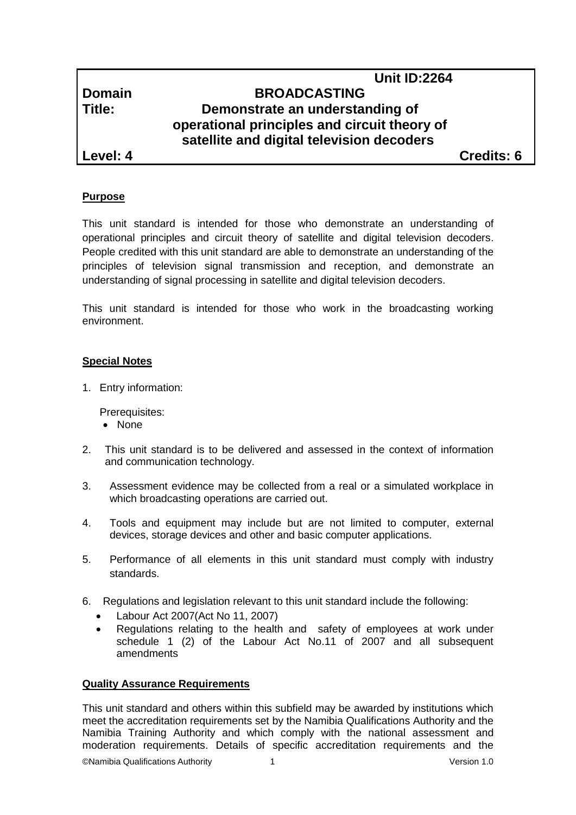## **Unit ID:2264 Domain BROADCASTING Title: Demonstrate an understanding of operational principles and circuit theory of satellite and digital television decoders**

**Level: 4 Credits: 6**

## **Purpose**

This unit standard is intended for those who demonstrate an understanding of operational principles and circuit theory of satellite and digital television decoders. People credited with this unit standard are able to demonstrate an understanding of the principles of television signal transmission and reception, and demonstrate an understanding of signal processing in satellite and digital television decoders.

This unit standard is intended for those who work in the broadcasting working environment.

### **Special Notes**

1. Entry information:

Prerequisites:

- None
- 2. This unit standard is to be delivered and assessed in the context of information and communication technology.
- 3. Assessment evidence may be collected from a real or a simulated workplace in which broadcasting operations are carried out.
- 4. Tools and equipment may include but are not limited to computer, external devices, storage devices and other and basic computer applications.
- 5. Performance of all elements in this unit standard must comply with industry standards.
- 6. Regulations and legislation relevant to this unit standard include the following:
	- Labour Act 2007(Act No 11, 2007)
	- Regulations relating to the health and safety of employees at work under schedule 1 (2) of the Labour Act No.11 of 2007 and all subsequent amendments

### **Quality Assurance Requirements**

This unit standard and others within this subfield may be awarded by institutions which meet the accreditation requirements set by the Namibia Qualifications Authority and the Namibia Training Authority and which comply with the national assessment and moderation requirements. Details of specific accreditation requirements and the